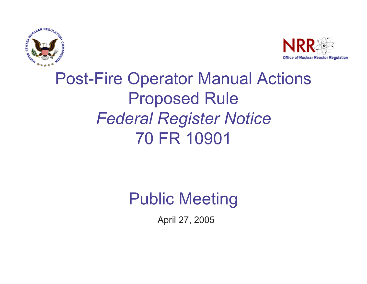



### Post-Fire Operator Manual Actions Proposed Rule *Federal Register Notice* 70 FR 10901

#### Public Meeting

April 27, 2005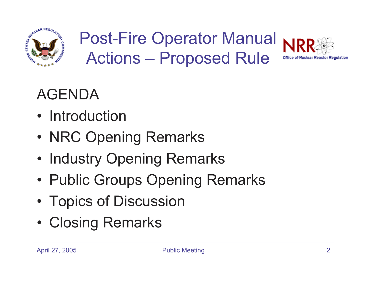

Post-Fire Operator Manual Actions – Proposed Rule



#### AGENDA

- Introduction
- •NRC Opening Remarks
- •Industry Opening Remarks
- •Public Groups Opening Remarks
- •Topics of Discussion
- •Closing Remarks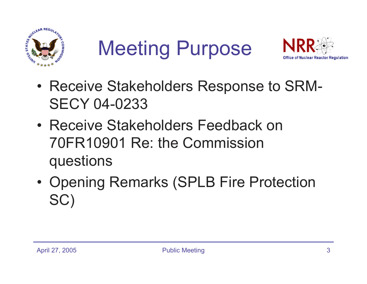

## Meeting Purpose



- • Receive Stakeholders Response to SRM-SECY 04-0233
- Receive Stakeholders Feedback on 70FR10901 Re: the Commission questions
- • Opening Remarks (SPLB Fire Protection SC)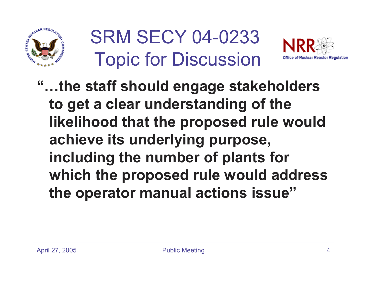

SRM SECY 04-0233Topic for Discussion



#### **"…the staff should engage stakeholders to get a clear understanding of the likelihood that the proposed rule would achieve its underlying purpose, including the number of plants for which the proposed rule would address the operator manual actions issue"**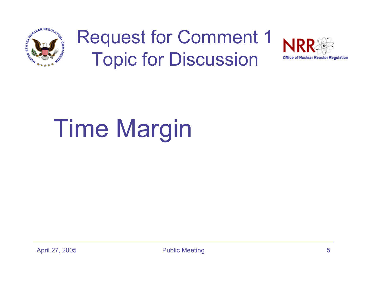

### Request for Comment 1 Topic for Discussion



# Time Margin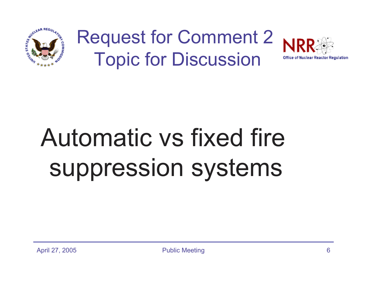

### Request for Comment 2 Topic for Discussion



## Automatic vs fixed fire suppression systems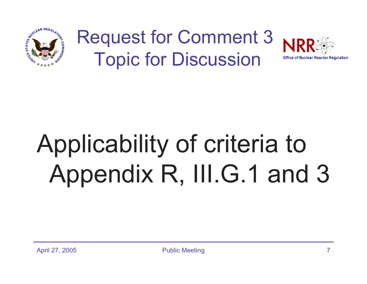

### Request for Comment 3 Topic for Discussion



## Applicability of criteria to Appendix R, III.G.1 and 3